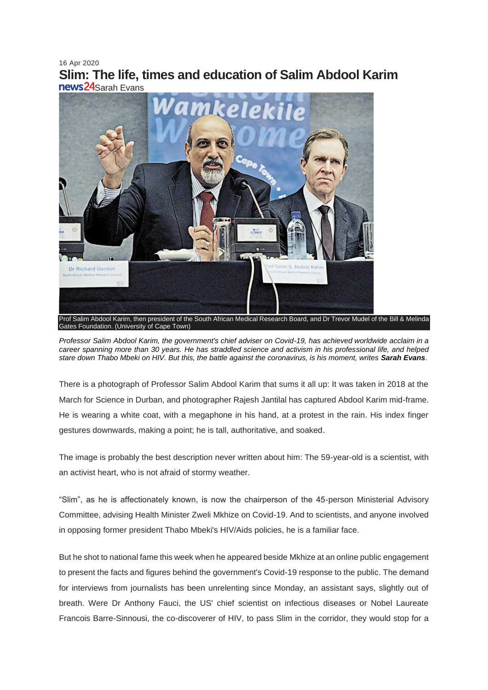# 16 Apr 2020 **Slim: The life, times and education of Salim Abdool Karim** news24Sarah Evans



Prof Salim Abdool Karim, then president of the South African Medical Research Board, and Dr Trevor Mudel of the Bill & Melinda Gates Foundation. (University of Cape Town)

*Professor Salim Abdool Karim, the government's chief adviser on Covid-19, has achieved worldwide acclaim in a career spanning more than 30 years. He has straddled science and activism in his professional life, and helped stare down Thabo Mbeki on HIV. But this, the battle against the coronavirus, is his moment, writes Sarah Evans*.

There is a photograph of Professor Salim Abdool Karim that sums it all up: It was taken in 2018 at the March for Science in Durban, and photographer Rajesh Jantilal has captured Abdool Karim mid-frame. He is wearing a white coat, with a megaphone in his hand, at a protest in the rain. His index finger gestures downwards, making a point; he is tall, authoritative, and soaked.

The image is probably the best description never written about him: The 59-year-old is a scientist, with an activist heart, who is not afraid of stormy weather.

"Slim", as he is affectionately known, is now the chairperson of the 45-person Ministerial Advisory Committee, advising Health Minister Zweli Mkhize on Covid-19. And to scientists, and anyone involved in opposing former president Thabo Mbeki's HIV/Aids policies, he is a familiar face.

But he shot to national fame this week when he appeared beside Mkhize at an online public engagement to present the facts and figures behind the government's Covid-19 response to the public. The demand for interviews from journalists has been unrelenting since Monday, an assistant says, slightly out of breath. Were Dr Anthony Fauci, the US' chief scientist on infectious diseases or Nobel Laureate Francois Barre-Sinnousi, the co-discoverer of HIV, to pass Slim in the corridor, they would stop for a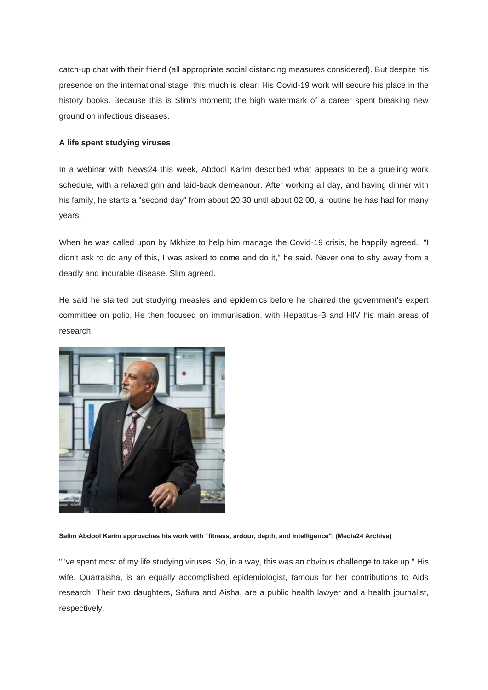catch-up chat with their friend (all appropriate social distancing measures considered). But despite his presence on the international stage, this much is clear: His Covid-19 work will secure his place in the history books. Because this is Slim's moment; the high watermark of a career spent breaking new ground on infectious diseases.

## **A life spent studying viruses**

In a webinar with News24 this week, Abdool Karim described what appears to be a grueling work schedule, with a relaxed grin and laid-back demeanour. After working all day, and having dinner with his family, he starts a "second day" from about 20:30 until about 02:00, a routine he has had for many years.

When he was called upon by Mkhize to help him manage the Covid-19 crisis, he happily agreed. "I didn't ask to do any of this, I was asked to come and do it," he said. Never one to shy away from a deadly and incurable disease, Slim agreed.

He said he started out studying measles and epidemics before he chaired the government's expert committee on polio. He then focused on immunisation, with Hepatitus-B and HIV his main areas of research.



**Salim Abdool Karim approaches his work with "fitness, ardour, depth, and intelligence". (Media24 Archive)**

"I've spent most of my life studying viruses. So, in a way, this was an obvious challenge to take up." His wife, Quarraisha, is an equally accomplished epidemiologist, famous for her contributions to Aids research. Their two daughters, Safura and Aisha, are a public health lawyer and a health journalist, respectively.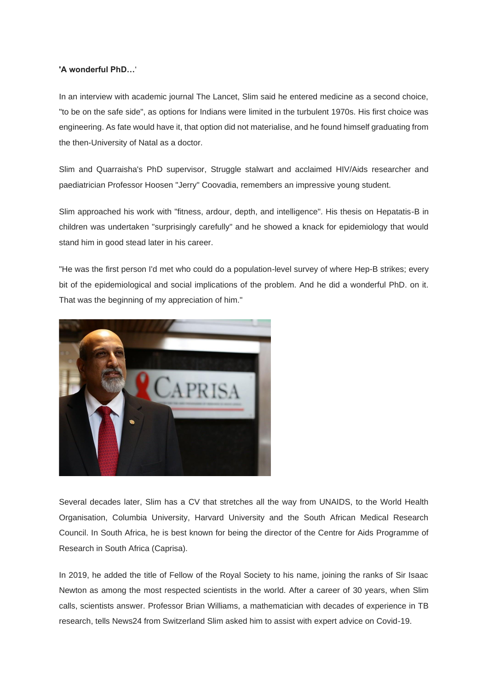## **'A wonderful PhD…**'

In an interview with academic journal The Lancet, Slim said he entered medicine as a second choice, "to be on the safe side", as options for Indians were limited in the turbulent 1970s. His first choice was engineering. As fate would have it, that option did not materialise, and he found himself graduating from the then-University of Natal as a doctor.

Slim and Quarraisha's PhD supervisor, Struggle stalwart and acclaimed HIV/Aids researcher and paediatrician Professor Hoosen "Jerry" Coovadia, remembers an impressive young student.

Slim approached his work with "fitness, ardour, depth, and intelligence". His thesis on Hepatatis-B in children was undertaken "surprisingly carefully" and he showed a knack for epidemiology that would stand him in good stead later in his career.

"He was the first person I'd met who could do a population-level survey of where Hep-B strikes; every bit of the epidemiological and social implications of the problem. And he did a wonderful PhD. on it. That was the beginning of my appreciation of him."



Several decades later, Slim has a CV that stretches all the way from UNAIDS, to the World Health Organisation, Columbia University, Harvard University and the South African Medical Research Council. In South Africa, he is best known for being the director of the Centre for Aids Programme of Research in South Africa (Caprisa).

In 2019, he added the title of Fellow of the Royal Society to his name, joining the ranks of Sir Isaac Newton as among the most respected scientists in the world. After a career of 30 years, when Slim calls, scientists answer. Professor Brian Williams, a mathematician with decades of experience in TB research, tells News24 from Switzerland Slim asked him to assist with expert advice on Covid-19.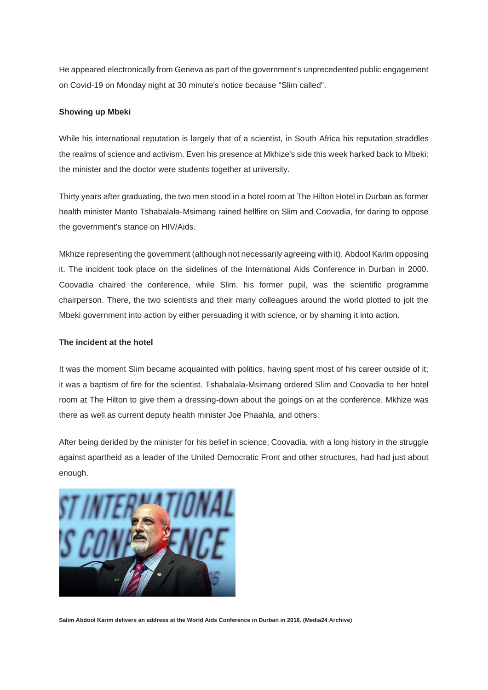He appeared electronically from Geneva as part of the government's unprecedented public engagement on Covid-19 on Monday night at 30 minute's notice because "Slim called".

### **Showing up Mbeki**

While his international reputation is largely that of a scientist, in South Africa his reputation straddles the realms of science and activism. Even his presence at Mkhize's side this week harked back to Mbeki: the minister and the doctor were students together at university.

Thirty years after graduating, the two men stood in a hotel room at The Hilton Hotel in Durban as former health minister Manto Tshabalala-Msimang rained hellfire on Slim and Coovadia, for daring to oppose the government's stance on HIV/Aids.

Mkhize representing the government (although not necessarily agreeing with it), Abdool Karim opposing it. The incident took place on the sidelines of the International Aids Conference in Durban in 2000. Coovadia chaired the conference, while Slim, his former pupil, was the scientific programme chairperson. There, the two scientists and their many colleagues around the world plotted to jolt the Mbeki government into action by either persuading it with science, or by shaming it into action.

#### **The incident at the hotel**

It was the moment Slim became acquainted with politics, having spent most of his career outside of it; it was a baptism of fire for the scientist. Tshabalala-Msimang ordered Slim and Coovadia to her hotel room at The Hilton to give them a dressing-down about the goings on at the conference. Mkhize was there as well as current deputy health minister Joe Phaahla, and others.

After being derided by the minister for his belief in science, Coovadia, with a long history in the struggle against apartheid as a leader of the United Democratic Front and other structures, had had just about enough.



**Salim Abdool Karim delivers an address at the World Aids Conference in Durban in 2018. (Media24 Archive)**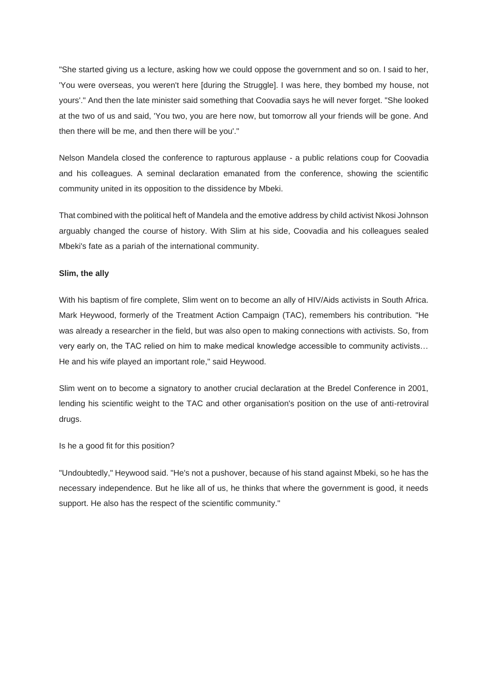"She started giving us a lecture, asking how we could oppose the government and so on. I said to her, 'You were overseas, you weren't here [during the Struggle]. I was here, they bombed my house, not yours'." And then the late minister said something that Coovadia says he will never forget. "She looked at the two of us and said, 'You two, you are here now, but tomorrow all your friends will be gone. And then there will be me, and then there will be you'."

Nelson Mandela closed the conference to rapturous applause - a public relations coup for Coovadia and his colleagues. A seminal declaration emanated from the conference, showing the scientific community united in its opposition to the dissidence by Mbeki.

That combined with the political heft of Mandela and the emotive address by child activist Nkosi Johnson arguably changed the course of history. With Slim at his side, Coovadia and his colleagues sealed Mbeki's fate as a pariah of the international community.

### **Slim, the ally**

With his baptism of fire complete, Slim went on to become an ally of HIV/Aids activists in South Africa. Mark Heywood, formerly of the Treatment Action Campaign (TAC), remembers his contribution. "He was already a researcher in the field, but was also open to making connections with activists. So, from very early on, the TAC relied on him to make medical knowledge accessible to community activists… He and his wife played an important role," said Heywood.

Slim went on to become a signatory to another crucial declaration at the Bredel Conference in 2001, lending his scientific weight to the TAC and other organisation's position on the use of anti-retroviral drugs.

Is he a good fit for this position?

"Undoubtedly," Heywood said. "He's not a pushover, because of his stand against Mbeki, so he has the necessary independence. But he like all of us, he thinks that where the government is good, it needs support. He also has the respect of the scientific community."